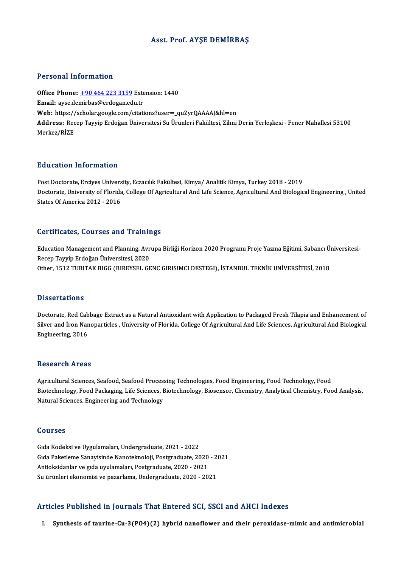# Asst. Prof. AYŞE DEMİRBAŞ

## Personal Information

Personal Information<br>Office Phone: <u>+90 464 223 3159</u> Extension: 1440<br>Email: avec demirbas@ordogan.cdu.tr Procession Internation<br>Office Phone: <u>+90 464 223 3159</u> External: ayse.de[mirbas@erdogan.ed](tel:+90 464 223 3159)u.tr Office Phone: <u>+90 464 223 3159</u> Extension: 1440<br>Email: ayse.demirbas@erdogan.edu.tr<br>Web: https://scholar.google.com/citations?user=\_quZyrQAAAAJ&hl=en<br>Address: Besen Taurin Erdoğan Üniversitesi Su Ürünleri Fakültesi Zihni Email: ayse.demirbas@erdogan.edu.tr<br>Web: https://scholar.google.com/citations?user=\_quZyrQAAAAJ&hl=en<br>Address: Recep Tayyip Erdoğan Üniversitesi Su Ürünleri Fakültesi, Zihni Derin Yerleşkesi - Fener Mahallesi 53100<br>Merkez/ Web: https://<br>Address: Rec<br>Merkez/RİZE

## Education Information

**Education Information<br>Post Doctorate, Erciyes University, Eczacılık Fakültesi, Kimya/ Analitik Kimya, Turkey 2018 - 2019<br>Postorate University of Elerida, College Of Asricultural And Life Science, Asricultural And Biolegie** Doctorate, University of Florida, College Of Agricultural And Life Science, Agricultural And Biological Engineering , United<br>States Of America 2012 - 2016 Post Doctorate, Erciyes Univers<br>Doctorate, University of Florida<br>States Of America 2012 - 2016

## Certificates, Courses and Trainings

Certificates, Courses and Trainings<br>Education Management and Planning, Avrupa Birliği Horizon 2020 Programı Proje Yazma Eğitimi, Sabancı Üniversitesi-<br>Resen Taurin Endoğan Üniversitesi, 2020 Bertmentes, Sourses and Training<br>Education Management and Planning, Avr<br>Recep Tayyip Erdoğan Üniversitesi, 2020<br>Other 1512 TUBITAK BICC (BIBEVEEL CE Education Management and Planning, Avrupa Birliği Horizon 2020 Programı Proje Yazma Eğitimi, Sabancı Ü:<br>Recep Tayyip Erdoğan Üniversitesi, 2020<br>Other, 1512 TUBITAK BIGG (BIREYSEL GENC GIRISIMCI DESTEGI), İSTANBUL TEKNİK UN Other, 1512 TUBITAK BIGG (BIREYSEL GENC GIRISIMCI DESTEGI), İSTANBUL TEKNİK UNİVERSİTESİ, 2018<br>Dissertations

Doctorate, Red Cabbage Extract as a Natural Antioxidant with Application to Packaged Fresh Tilapia and Enhancement of Silver and İron Nanoparticles , University of Florida, College Of Agricultural And Life Sciences, Agricultural And Biological Engineering,2016

## **Research Areas**

Agricultural Sciences, Seafood, Seafood Processing Technologies, Food Engineering, Food Technology, Food Biotechnology, Food Packaging, Life Sciences, Biotechnology, Biosensor, Chemistry, Analytical Chemistry, Food Analysis, Natural Sciences, Engineering and Technology

### Courses

GıdaKodeksiveUygulamaları,Undergraduate,2021 -2022 Gıda Paketleme Sanayisinde Nanoteknoloji, Postgraduate, 2020 - 2021 Antioksidanlar ve gıda uyulamaları, Postgraduate, 2020 - 2021 Su ürünleri ekonomisi ve pazarlama, Undergraduate, 2020 - 2021

### Articles Published in Journals That Entered SCI, SSCI and AHCI Indexes

I. Synthesis of taurine-Cu-3(PO4)(2) hybrid nanoflower and their peroxidase-mimic and antimicrobial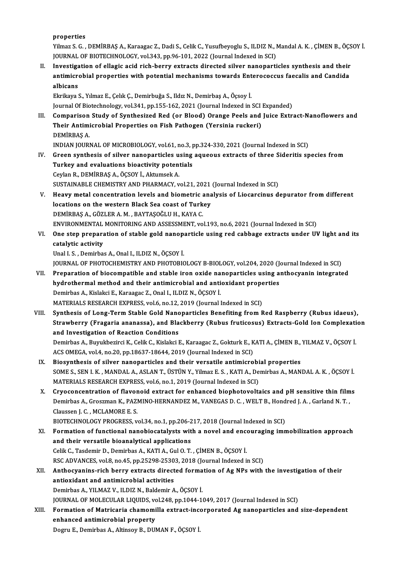properties

Properties<br>Yilmaz S. G. , DEMİRBAŞ A., Karaagac Z., Dadi S., Celik C., Yusufbeyoglu S., ILDIZ N., Mandal A. K. , ÇİMEN B., ÖÇSOY İ.<br>JOUPMAL OE PIQTECHNOLOCY vel 343-np 96-191-3933 (Journal Indexed in SCI) properties<br>Yilmaz S. G. , DEMİRBAŞ A., Karaagac Z., Dadi S., Celik C., Yusufbeyoglu S., ILDIZ N., I<br>JOURNAL OF BIOTECHNOLOGY, vol.343, pp.96-101, 2022 (Journal Indexed in SCI)<br>Investigation of ellegie asid rich berry extra Yilmaz S. G., DEMİRBAŞ A., Karaagac Z., Dadi S., Celik C., Yusufbeyoglu S., ILDIZ N., Mandal A. K., ÇİMEN B., ÖÇS<br>JOURNAL OF BIOTECHNOLOGY, vol.343, pp.96-101, 2022 (Journal Indexed in SCI)<br>II. Investigation of ellagic aci

JOURNAL OF BIOTECHNOLOGY, vol.343, pp.96-101, 2022 (Journal Indexed in SCI)<br>Investigation of ellagic acid rich-berry extracts directed silver nanoparticles synthesis and their<br>antimicrobial properties with potential mechan Investiga<br>antimicro<br>albicans<br>Elrikava antimicrobial properties with potential mechanisms towards Enterococcus faecalis and Candida<br>albicans<br>Ekrikaya S., Yılmaz E., Çelık Ç., Demirbuğa S., Ildız N., Demirbaş A., Öçsoy İ.

Journal Of Biotechnology, vol.341, pp.155-162, 2021 (Journal Indexed in SCI Expanded)

III. Comparison Study of Synthesized Red (or Blood) Orange Peels and Juice Extract-Nanoflowers and Journal Of Biotechnology, vol.341, pp.155-162, 2021 (Journal Indexed in SCI<br>Comparison Study of Synthesized Red (or Blood) Orange Peels and<br>Their Antimicrobial Properties on Fish Pathogen (Yersinia ruckeri)<br>PEMIPRAS A Comparison<br>Their Antimi<br>DEMİRBAŞ A.<br>INDIAN IOUPI DEMİRBAŞ A.<br>INDIAN JOURNAL OF MICROBIOLOGY, vol.61, no.3, pp.324-330, 2021 (Journal Indexed in SCI)

- IV. Green synthesis of silver nanoparticles using aqueous extracts of three Sideritis species from INDIAN JOURNAL OF MICROBIOLOGY, vol.61, no.3, p<br>Green synthesis of silver nanoparticles using<br>Turkey and evaluations bioactivity potentials<br>Carlon B. DEMIPPAS A. ÖCSOV LAhtumaak A. Green synthesis of silver nanoparticles u<br>Turkey and evaluations bioactivity poten<br>Ceylan R., DEMİRBAŞ A., ÖÇSOY İ., Aktumsek A.<br>SUSTAINARLE CHEMISTRY AND BHARMACY .. Turkey and evaluations bioactivity potentials<br>Ceylan R., DEMİRBAŞ A., ÖÇSOY İ., Aktumsek A.<br>SUSTAINABLE CHEMISTRY AND PHARMACY, vol.21, 2021 (Journal Indexed in SCI)<br>Hoeyw metal sansantration levels and biometris analysis Ceylan R., DEMİRBAŞ A., ÖÇSOY İ., Aktumsek A.<br>SUSTAINABLE CHEMISTRY AND PHARMACY, vol.21, 2021 (Journal Indexed in SCI)<br>V. Heavy metal concentration levels and biometric analysis of Liocarcinus depurator from different<br>log
- SUSTAINABLE CHEMISTRY AND PHARMACY, vol.21, 2021<br>Heavy metal concentration levels and biometric ana<br>locations on the western Black Sea coast of Turkey Heavy metal concentration levels and biometric and intertained and solventhic and intertained the DEMIRBAŞ A., GÖZLER A. M. , BAYTAŞOĞLU H., KAYA C.<br>DEMIRBAŞ A., GÖZLER A. M. , BAYTAŞOĞLU H., KAYA C.<br>ENWIRONMENTAL MONITORI locations on the western Black Sea coast of Turkey<br>DEMIRBAŞ A., GÖZLER A. M. , BAYTAŞOĞLU H., KAYA C.<br>ENVIRONMENTAL MONITORING AND ASSESSMENT, vol.193, no.6, 2021 (Journal Indexed in SCI)<br>One step preperation of stable gol
- DEMIRBAŞ A., GÖZLER A. M. , BAYTAŞOĞLU H., KAYA C.<br>ENVIRONMENTAL MONITORING AND ASSESSMENT, vol.193, no.6, 2021 (Journal Indexed in SCI)<br>VI. One step preparation of stable gold nanoparticle using red cabbage extracts u ENVIRONMENTAL<br>One step prepara<br>catalytic activity<br>Unal I S. Domirba catalytic activity<br>Unal I. S. , Demirbas A., Onal I., ILDIZ N., ÖÇSOY İ.<br>JOURNAL OF PHOTOCHEMISTRY AND PHOTOBIOLOGY B-BIOLOGY, vol.204, 2020 (Journal Indexed in SCI)<br>Preparation of biosompatible and stable iron ovide papen

Unal I.S., Demirbas A., Onal I., ILDIZ N., ÖÇSOY İ.

- Unal I. S. , Demirbas A., Onal I., ILDIZ N., ÖÇSOY İ.<br>JOURNAL OF PHOTOCHEMISTRY AND PHOTOBIOLOGY B-BIOLOGY, vol.204, 2020 (Journal Indexed in SCI)<br>VII. Preparation of biocompatible and stable iron oxide nanoparticles using JOURNAL OF PHOTOCHEMISTRY AND PHOTOBIOLOGY B-BIOLOGY, vol.204, 2020 (Journal method and their antimicrobial and antioxidant properties<br>hydrothermal method and their antimicrobial and antioxidant properties<br>Domirbes A. Kiel Preparation of biocompatible and stable iron oxide na<br>hydrothermal method and their antimicrobial and anti<br>Demirbas A., Kislakci E., Karaagac Z., Onal I., ILDIZ N., ÖÇSOY İ.<br>MATERIALS RESEARCH EVRRESS val 6 no.12,2010 (Jou hydrothermal method and their antimicrobial and antioxidant properties<br>Demirbas A., Kislakci E., Karaagac Z., Onal I., ILDIZ N., ÖÇSOY İ.<br>MATERIALS RESEARCH EXPRESS, vol.6, no.12, 2019 (Journal Indexed in SCI) Demirbas A., Kislakci E., Karaagac Z., Onal I., ILDIZ N., ÖÇSOY İ.<br>MATERIALS RESEARCH EXPRESS, vol.6, no.12, 2019 (Journal Indexed in SCI)<br>VIII. Synthesis of Long-Term Stable Gold Nanoparticles Benefiting from Red Raspberr
- MATERIALS RESEARCH EXPRESS, vol.6, no.12, 2019 (Journal Indexed in SCI)<br>Synthesis of Long-Term Stable Gold Nanoparticles Benefiting from Red Raspberry (Rubus idaeus),<br>Strawberry (Fragaria ananassa), and Blackberry (Rubus f Synthesis of Long-Term Stable Gold Nano<br>Strawberry (Fragaria ananassa), and Bla<br>and Investigation of Reaction Conditions<br>Demirbes A. Burukberinsi K. Colik C. Kialaksi I Strawberry (Fragaria ananassa), and Blackberry (Rubus fruticosus) Extracts-Gold Ion Complexati<br>and Investigation of Reaction Conditions<br>Demirbas A., Buyukbezirci K., Celik C., Kislakci E., Karaagac Z., Gokturk E., KATI A., and Investigation of Reaction Conditions<br>Demirbas A., Buyukbezirci K., Celik C., Kislakci E., Karaagac Z., Gokturk E., K<br>ACS OMEGA, vol.4, no.20, pp.18637-18644, 2019 (Journal Indexed in SCI)<br>Piesunthesis of silver nanopor Demirbas A., Buyukbezirci K., Celik C., Kislakci E., Karaagac Z., Gokturk E., KATI A., ÇİMEN B.,<br>ACS OMEGA, vol.4, no.20, pp.18637-18644, 2019 (Journal Indexed in SCI)<br>IX. Biosynthesis of silver nanoparticles and their ver
- ACS OMEGA, vol.4, no.20, pp.18637-18644, 2019 (Journal Indexed in SCI)<br>Biosynthesis of silver nanoparticles and their versatile antimicrobial properties<br>SOME S., SEN I. K. , MANDAL A., ASLAN T., ÜSTÜN Y., Yilmaz E. S. , KA Biosynthesis of silver nanoparticles and their versatile antimicrobi<br>SOME S., SEN I. K. , MANDAL A., ASLAN T., ÜSTÜN Y., Yilmaz E. S. , KATI A., De<br>MATERIALS RESEARCH EXPRESS, vol.6, no.1, 2019 (Journal Indexed in SCI)<br>Cru SOME S., SEN I. K., MANDAL A., ASLAN T., ÜSTÜN Y., Yilmaz E. S., KATI A., Demirbas A., MANDAL A. K., ÖÇSOY İ.<br>MATERIALS RESEARCH EXPRESS, vol.6, no.1, 2019 (Journal Indexed in SCI)<br>X. Cryoconcentration of flavonoid extract
- MATERIALS RESEARCH EXPRESS, vol.6, no.1, 2019 (Journal Indexed in SCI)<br>Cryoconcentration of flavonoid extract for enhanced biophotovoltaics and pH sensitive thin film<br>Demirbas A., Groszman K., PAZMINO-HERNANDEZ M., VANEGAS Cryoconcentration of flavor<br>Demirbas A., Groszman K., PAZI<br>Claussen J. C. , MCLAMORE E. S.<br>PIOTECHNOLOCY PROCRESS. W Demirbas A., Groszman K., PAZMINO-HERNANDEZ M., VANEGAS D. C. , WELT B., Hond<br>Claussen J. C. , MCLAMORE E. S.<br>BIOTECHNOLOGY PROGRESS, vol.34, no.1, pp.206-217, 2018 (Journal Indexed in SCI)<br>Formation of functional nanobios

- Claussen J. C. , MCLAMORE E. S.<br>BIOTECHNOLOGY PROGRESS, vol.34, no.1, pp.206-217, 2018 (Journal Indexed in SCI)<br>XI. Formation of functional nanobiocatalysts with a novel and encouraging immobilization approach<br>and their ve BIOTECHNOLOGY PROGRESS, vol.34, no.1, pp.206-217, 2018 (Journal Indexed in SCI)<br>Formation of functional nanobiocatalysts with a novel and encouraging imr<br>and their versatile bioanalytical applications<br>Celik C., Tasdemir D. Formation of functional nanobiocatalysts with a novel and ence<br>and their versatile bioanalytical applications<br>Celik C., Tasdemir D., Demirbas A., KATI A., Gul O.T. , ÇİMEN B., ÖÇSOY İ.<br>BSC ADVANCES vol 9 no 45 nn 25209 252 and their versatile bioanalytical applications<br>Celik C., Tasdemir D., Demirbas A., KATI A., Gul O. T. , ÇİMEN B., ÖÇSOY İ.<br>RSC ADVANCES, vol.8, no.45, pp.25298-25303, 2018 (Journal Indexed in SCI)<br>Anthogyaning rish borry e
- XII. Anthocyanins-rich berry extracts directed formation of Ag NPs with the investigation of their<br>antioxidant and antimicrobial activities RSC ADVANCES, vol.8, no.45, pp.25298-2530<br>Anthocyanins-rich berry extracts direct<br>antioxidant and antimicrobial activities<br>Domirhas A, VII MAZ V, II DIZ N, Boldomir A Demirbas A., YILMAZ V., ILDIZ N., Baldemir A., ÖÇSOY İ. antioxidant and antimicrobial activities<br>Demirbas A., YILMAZ V., ILDIZ N., Baldemir A., ÖÇSOY İ.<br>JOURNAL OF MOLECULAR LIQUIDS, vol.248, pp.1044-1049, 2017 (Journal Indexed in SCI)<br>Fermation of Matrisaria shamamilla extrast Demirbas A., YILMAZ V., ILDIZ N., Baldemir A., ÖÇSOY İ.<br>JOURNAL OF MOLECULAR LIQUIDS, vol.248, pp.1044-1049, 2017 (Journal Indexed in SCI)<br>XIII. Formation of Matricaria chamomilla extract-incorporated Ag nanoparticles
- **JOURNAL OF MOLECULAR LIQUIDS, vo<br>Formation of Matricaria chamomi<br>enhanced antimicrobial property**<br>Pogyu E. Domirbes A. Altineeu B. DUI Formation of Matricaria chamomilla extract-inc<br>enhanced antimicrobial property<br>Dogru E., Demirbas A., Altinsoy B., DUMAN F., ÖÇSOY İ.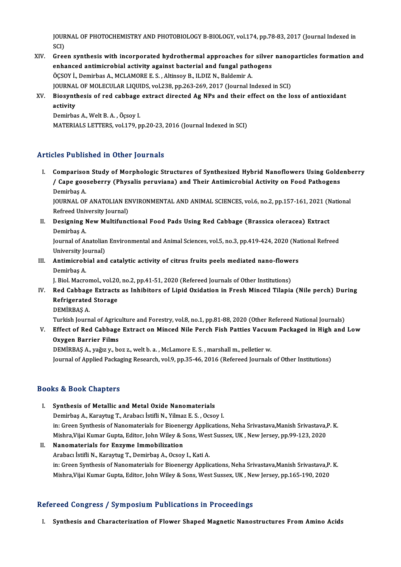JOURNAL OF PHOTOCHEMISTRY AND PHOTOBIOLOGY B-BIOLOGY, vol.174, pp.78-83, 2017 (Journal Indexed in<br>SCD JOUR<br>SCI)<br>Gras JOURNAL OF PHOTOCHEMISTRY AND PHOTOBIOLOGY B-BIOLOGY, vol.174, pp.78-83, 2017 (Journal Indexed in<br>SCI)<br>XIV. Green synthesis with incorporated hydrothermal approaches for silver nanoparticles formation and<br>anhanced antimion

- SCI)<br>Green synthesis with incorporated hydrothermal approaches for silver<br>enhanced antimicrobial activity against bacterial and fungal pathogens<br>ÖCSOV İ. Demirbes A. MCLAMORE E.S., Altinsey B. H.DIZ N. Baldemin A. Green synthesis with incorporated hydrothermal approaches for<br>enhanced antimicrobial activity against bacterial and fungal path<br>ÖÇSOY İ., Demirbas A., MCLAMORE E. S. , Altinsoy B., ILDIZ N., Baldemir A.<br>JOUPMAL OF MOLECULA ÖÇSOY İ., Demirbas A., MCLAMORE E. S. , Altinsoy B., ILDIZ N., Baldemir A.<br>JOURNAL OF MOLECULAR LIQUIDS, vol.238, pp.263-269, 2017 (Journal Indexed in SCI) ÖÇSOY İ., Demirbas A., MCLAMORE E. S. , Altinsoy B., ILDIZ N., Baldemir A.<br>JOURNAL OF MOLECULAR LIQUIDS, vol.238, pp.263-269, 2017 (Journal Indexed in SCI)<br>XV. Biosynthesis of red cabbage extract directed Ag NPs and th
- JOURNAI<br>Biosynt<br>activity<br><sup>Domirbo</sup> Biosynthesis of red cabbage<br>activity<br>Demirbas A., Welt B. A. , Öçsoy I.<br>MATEPIALS I ETTEPS vol 170 n

activity<br>Demirbas A., Welt B. A. , Öçsoy I.<br>MATERIALS LETTERS, vol.179, pp.20-23, 2016 (Journal Indexed in SCI)

# Articles Published in Other Journals

rticles Published in Other Journals<br>I. Comparison Study of Morphologic Structures of Synthesized Hybrid Nanoflowers Using Goldenberry<br>I. Cone seeseberry (Physelia perwyiane) and Their Antimianebial Activity on Eaed Pethese ries I dishistica in Sther Journals<br>Comparison Study of Morphologic Structures of Synthesized Hybrid Nanoflowers Using Golde<br>/ Cape gooseberry (Physalis peruviana) and Their Antimicrobial Activity on Food Pathogens<br>Reminbe Comparisol<br>/ Cape goo<br>Demirbaş A.<br>JOUPNAL OF / Cape gooseberry (Physalis peruviana) and Their Antimicrobial Activity on Food Pathogens<br>Demirbaş A.<br>JOURNAL OF ANATOLIAN ENVIRONMENTAL AND ANIMAL SCIENCES, vol.6, no.2, pp.157-161, 2021 (National<br>Pefreed University Journ

Demirbaş A.<br>JOURNAL OF ANATOLIAN EN<br>Refreed University Journal)<br>Posisning Now Multifung JOURNAL OF ANATOLIAN ENVIRONMENTAL AND ANIMAL SCIENCES, vol.6, no.2, pp.157-161, 2021 (N<br>Refreed University Journal)<br>II. Designing New Multifunctional Food Pads Using Red Cabbage (Brassica oleracea) Extract<br>Domirbes A

Refreed Univ<br>Designing 1<br>Demirbaş A.<br>Journal of A. Designing New Multifunctional Food Pads Using Red Cabbage (Brassica oleracea) Extract<br>Demirbaş A.<br>Journal of Anatolian Environmental and Animal Sciences, vol.5, no.3, pp.419-424, 2020 (National Refreed<br>University Journal)

Demirbaş A.<br>Journal of Anatolian Environmental and Animal Sciences, vol.5, no.3, pp.419-424, 2020 (National Refreed<br>University Journal) Journal of Anatolian Environmental and Animal Sciences, vol.5, no.3, pp.419-424, 2020 (Na<br>University Journal)<br>III. Antimicrobial and catalytic activity of citrus fruits peels mediated nano-flowers<br>Domithes A

University Jo<br>**Antimicrob**<br>Demirbaş A.<br>L. Biol Magre Antimicrobial and catalytic activity of citrus fruits peels mediated nano-flowe<br>Demirbaş A.<br>J. Biol. Macromol., vol.20, no.2, pp.41-51, 2020 (Refereed Journals of Other Institutions)<br>Red Cabbage Extracts as Inbibitors of L

Demirbaş A.<br>J. Biol. Macromol., vol.20, no.2, pp.41-51, 2020 (Refereed Journals of Other Institutions)<br>IV. Red Cabbage Extracts as Inhibitors of Lipid Oxidation in Fresh Minced Tilapia (Nile perch) During<br>Pefrigerated **J. Biol. Macromol., vol.20<br>Red Cabbage Extracts<br>Refrigerated Storage**<br>DEMIPPAS A Red Cabbage<br>Refrigerated<br>DEMİRBAŞ A.<br>Turkish Journ Refrigerated Storage<br>DEMİRBAŞ A.<br>Turkish Journal of Agriculture and Forestry, vol.8, no.1, pp.81-88, 2020 (Other Refereed National Journals)<br>Effect of Red Cabbage Eutrest en Mineed Nile Bersh Eish Petties Vesuum Peekaged i

DEMİRBAŞ A.<br>Turkish Journal of Agriculture and Forestry, vol.8, no.1, pp.81-88, 2020 (Other Refereed National Journals)<br>V. Effect of Red Cabbage Extract on Minced Nile Perch Fish Patties Vacuum Packaged in High and Low<br>Owg Turkish Journal of Agricu<br>Effect of Red Cabbage<br>Oxygen Barrier Films<br>DEMIPPAS A *vağ*ızız be V. Effect of Red Cabbage Extract on Minced Nile Perch Fish Patties Vacuum Packaged in High and Low<br>Oxygen Barrier Films<br>DEMİRBAŞ A., yağız y., boz z., welt b. a. , McLamore E. S. , marshall m., pelletier w.

Journal of Applied Packaging Research, vol.9, pp.35-46, 2016 (Refereed Journals of Other Institutions)

# Books&Book Chapters

- I. Synthesis of Metallic and Metal Oxide Nanomaterials DemirbaşA.,KaraytugT.,Arabacı İstifliN.,YilmazE.S. ,Ocsoy I. Synthesis of Metallic and Metal Oxide Nanomaterials<br>Demirbaş A., Karaytug T., Arabacı İstifli N., Yılmaz E. S. , Ocsoy I.<br>in: Green Synthesis of Nanomaterials for Bioenergy Applications, Neha Srivastava,Manish Srivastava,P Demirbaş A., Karaytug T., Arabacı İstifli N., Yilmaz E. S. , Ocsoy I.<br>in: Green Synthesis of Nanomaterials for Bioenergy Applications, Neha Srivastava,Manish Srivastava,I<br>Mishra,Vijai Kumar Gupta, Editor, John Wiley & Sons Mishra, Vijai Kumar Gupta, Editor, John Wiley & Sons, West Sussex, UK, New Jersey, pp.99-123, 2020
- II. Nanomaterials for Enzyme Immobilization<br>Arabacı İstifli N., Karaytug T., Demirbas A., Ocsoy I., Kati A. in: Green Synthesis of Nanomaterials for Bioenergy Applications, Neha Srivastava,Manish Srivastava,P.K. Mishra,Vijai Kumar Gupta, Editor, John Wiley & Sons, West Sussex, UK, New Jersey, pp.165-190, 2020

# Refereed Congress / Symposium Publications in Proceedings

I. Synthesis and Characterization of Flower Shaped Magnetic Nanostructures FromAmino Acids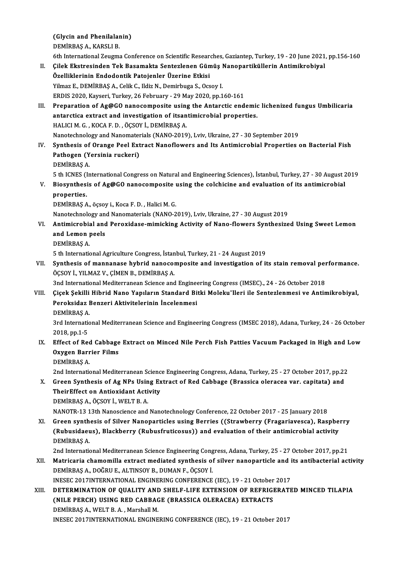(Glycin and Phenilalanin)<br>DEMIPPAS A, KARSLLP (Glycin and Phenilalar<br>DEMİRBAŞ A., KARSLI B.<br><sup>6th Intornational Zougno</sup>

6th InternationalZeugmaConference onScientificResearches,Gaziantep,Turkey,19 -20 June 2021,pp.156-160

DEMİRBAŞ A., KARSLI B.<br>6th International Zeugma Conference on Scientific Researches, Gaziantep, Turkey, 19 - 20 June 2021<br>II. Çilek Ekstresinden Tek Basamakta Sentezlenen Gümüş Nanopartiküllerin Antimikrobiyal<br>Örelliklerin 6th International Zeugma Conference on Scientific Researd<br>Cilek Ekstresinden Tek Basamakta Sentezlenen Gün<br>Özelliklerinin Endodontik Patojenler Üzerine Etkisi<br>Vilmaz E. DEMİPRAS A. Colik G. Ildiz N. Domirbuga S. Oss Özelliklerinin Endodontik Patojenler Üzerine Etkisi<br>Yilmaz E., DEMİRBAŞ A., Celik C., Ildiz N., Demirbuga S., Ocsoy I. Özelliklerinin Endodontik Patojenler Üzerine Etkisi<br>Yilmaz E., DEMİRBAŞ A., Celik C., Ildiz N., Demirbuga S., Ocsoy I.<br>ERDIS 2020, Kayseri, Turkey, 26 February - 29 May 2020, pp.160-161<br>Preparation of Ag@CO paposemposite u III. Preparation of Ag@GO nanocomposite using the Antarctic endemic lichenized fungus Umbilicaria<br>antarctica extract and investigation of itsantimicrobial properties. ERDIS 2020, Kayseri, Turkey, 26 February - 29 May 2020, pp.160-161<br>Preparation of Ag@GO nanocomposite using the Antarctic endemic<br>antarctica extract and investigation of itsantimicrobial properties. HALICIM.G. ,KOCAF.D. ,ÖÇSOYİ.,DEMİRBAŞA. antarctica extract and investigation of itsantimicrobial properties.<br>HALICI M. G., KOCA F. D., ÖÇSOY İ., DEMİRBAŞ A.<br>Nanotechnology and Nanomaterials (NANO-2019), Lviv, Ukraine, 27 - 30 September 2019<br>Synthosis of Orango B IV. Synthesis of Orange Peel Extract Nanoflowers and Its Antimicrobial Properties on Bacterial Fish Nanotechnology and Nanomater<br>Synthesis of Orange Peel Ext<br>Pathogen (Yersinia ruckeri)<br>PEMIPPAS A DEMİRBAŞA. Pathogen (Yersinia ruckeri)<br>DEMİRBAŞ A.<br>5 th ICNES (International Congress on Natural and Engineering Sciences), İstanbul, Turkey, 27 - 30 August 2019<br>Piesunthasis of Ag@CO paposemposite using the salshisine and evoluation DEMIRBAŞ A.<br>5 th ICNES (International Congress on Natural and Engineering Sciences), İstanbul, Turkey, 27 - 30 August 2<br>7. Biosynthesis of Ag@GO nanocomposite using the colchicine and evaluation of its antimicrobial<br>8. Pro 5 th ICNES (I<br>Biosynthesi<br>properties.<br>DEMIPPAS A Biosynthesis of Ag@GO nanocomposite<br>properties.<br>DEMİRBAŞ A., öçsoy i., Koca F. D. , Halici M. G.<br>Nanoteshnelegy and Nanomaterials (NANO 2 properties.<br>DEMİRBAŞ A., öçsoy i., Koca F. D. , Halici M. G.<br>Nanotechnology and Nanomaterials (NANO-2019), Lviv, Ukraine, 27 - 30 August 2019 DEMİRBAŞ A., öçsoy i., Koca F. D. , Halici M. G.<br>Nanotechnology and Nanomaterials (NANO-2019), Lviv, Ukraine, 27 - 30 August 2019<br>VI. Antimicrobial and Peroxidase-mimicking Activity of Nano-flowers Synthesized Using Sw Nanotechnology an<br>Antimicrobial and<br>and Lemon peels<br>DEMIPPAS A Antimicrobia<br>and Lemon<br>DEMİRBAŞ A.<br>5 th Internatic and Lemon peels<br>DEMİRBAŞ A.<br>5 th International Agriculture Congress, İstanbul, Turkey, 21 - 24 August 2019<br>Synthesis of mannanase byhrid nanosamnasite and investigation of it DEMIRBAŞ A.<br>5 th International Agriculture Congress, İstanbul, Turkey, 21 - 24 August 2019<br>VII. Synthesis of mannanase hybrid nanocomposite and investigation of its stain removal performance.<br>ÖCSOV İ. YILMAZ V. CİMEN B 5 th International Agriculture Congress, İstan<br>Synthesis of mannanase hybrid nanocol<br>ÖÇSOY İ., YILMAZ V., ÇİMEN B., DEMİRBAŞ A. Synthesis of mannanase hybrid nanocomposite and investigation of its stain removal per<br>ÖÇSOY İ., YILMAZ V., ÇİMEN B., DEMİRBAŞ A.<br>3nd International Mediterranean Science and Engineering Congress (IMSEC)., 24 - 26 October 2 ÖÇSOY İ., YILMAZ V., ÇİMEN B., DEMİRBAŞ A.<br>3nd International Mediterranean Science and Engineering Congress (IMSEC)., 24 - 26 October 2018<br>VIII. Çiçek Şekilli Hibrid Nano Yapıların Standard Bitki Moleku¨lleri ile Sente 3nd International Mediterranean Science and Engineering Congress (IMSEC)., 24 - 26 October 2018<br>Çiçek Şekilli Hibrid Nano Yapıların Standard Bitki Moleku"lleri ile Sentezlenmesi ve Antin<br>Peroksidaz Benzeri Aktivitelerinin Çiçek Şekilli<br>Peroksidaz I<br>DEMİRBAŞ A.<br><sup>2</sup>rd Internatio Peroksidaz Benzeri Aktivitelerinin İncelenmesi<br>DEMİRBAŞ A.<br>3rd International Mediterranean Science and Engineering Congress (IMSEC 2018), Adana, Turkey, 24 - 26 October DEMIRBAŞ A.<br>3rd Internation<br>2018, pp.1-5 3rd International Mediterranean Science and Engineering Congress (IMSEC 2018), Adana, Turkey, 24 - 26 October<br>2018, pp.1-5<br>IX. Effect of Red Cabbage Extract on Minced Nile Perch Fish Patties Vacuum Packaged in High and Low 2018, pp.1-5<br>Effect of Red Cabbage<br>Oxygen Barrier Films<br>DEMIPPAS A Effect of Rec<br>Oxygen Barr<br>DEMİRBAŞ A.<br>2nd Internatie Oxygen Barrier Films<br>DEMİRBAŞ A.<br>2nd International Mediterranean Science Engineering Congress, Adana, Turkey, 25 - 27 October 2017, pp.22<br>Creen Synthesis of Ag NBs Heing Extrest of Bod Cohhage (Bressise eleresse var. senit DEMIRBAŞ A.<br>2nd International Mediterranean Science Engineering Congress, Adana, Turkey, 25 - 27 October 2017, pp.22<br>3. Green Synthesis of Ag NPs Using Extract of Red Cabbage (Brassica oleracea var. capitata) and<br>1. TheirE 2nd International Mediterranean Scienc<br>Green Synthesis of Ag NPs Using Ex<br>TheirEffect on Antioxidant Activity<br>DEMIPPAS A ÖCSOV LIMELT P A DEMİRBAŞ A., ÖÇSOY İ., WELT B. A. NANOTR-13 13thNanoscience andNanotechnologyConference,22October 2017 -25 January2018 DEMIRBAŞ A., ÖÇSOY İ., WELT B. A.<br>NANOTR-13 13th Nanoscience and Nanotechnology Conference, 22 October 2017 - 25 January 2018<br>XI. Green synthesis of Silver Nanoparticles using Berries ((Strawberry (Fragariavesca), Raspberr NANOTR-13 13th Nanoscience and Nanotechnology Conference, 22 October 2017 - 25 January 2018<br>Green synthesis of Silver Nanoparticles using Berries ((Strawberry (Fragariavesca), Raspbe<br>(Rubusidaeus), Blackberry (Rubusfrutico Green synth<br>(Rubusidaeu<br>DEMİRBAŞ A. (Rubusidaeus), Blackberry (Rubusfruticosus)) and evaluation of their antimicrobial activity<br>DEMİRBAŞ A.<br>2nd International Mediterranean Science Engineering Congress, Adana, Turkey, 25 - 27 October 2017, pp.21<br>Metricaria sh DEMIRBAŞ A.<br>2nd International Mediterranean Science Engineering Congress, Adana, Turkey, 25 - 27 October 2017, pp.21<br>XII. Matricaria chamomilla extract mediated synthesis of silver nanoparticle and its antibacterial ac

2nd International Mediterranean Science Engineering Cong<br>Matricaria chamomilla extract mediated synthesis of<br>DEMİRBAŞ A., DOĞRU E., ALTINSOY B., DUMAN F., ÖÇSOY İ.<br>INESEC 2017INTERNATIONAL ENCINERING CONEERENGE Matricaria chamomilla extract mediated synthesis of silver nanoparticle and i<br>DEMİRBAŞ A., DOĞRU E., ALTINSOY B., DUMAN F., ÖÇSOY İ.<br>INESEC 2017INTERNATIONAL ENGINERING CONFERENCE (IEC), 19 - 21 October 2017<br>DETERMINATION

DEMIRBAȘ A., DOĞRU E., ALTINSOY B., DUMAN F., ÖÇSOY İ.<br>INESEC 2017INTERNATIONAL ENGINERING CONFERENCE (IEC), 19 - 21 October 2017<br>XIII. DETERMINATION OF QUALITY AND SHELF-LIFE EXTENSION OF REFRIGERATED MINCED TILAPIA INESEC 2017INTERNATIONAL ENGINERING CONFERENCE (IEC), 19 - 21 October<br>DETERMINATION OF QUALITY AND SHELF-LIFE EXTENSION OF REFRIGI<br>(NILE PERCH) USING RED CABBAGE (BRASSICA OLERACEA) EXTRACTS<br>DEMIPRAS A. WELT B.A. Marsball DETERMINATION OF QUALITY AN<mark>I</mark><br>(NILE PERCH) USING RED CABBA<br>DEMİRBAŞ A., WELT B. A. , Marshall M.<br>INESEC 2017INTERNATIONAL ENCINE (NILE PERCH) USING RED CABBAGE (BRASSICA OLERACEA) EXTRACTS<br>DEMIRBAŞ A., WELT B. A., Marshall M.<br>INESEC 2017INTERNATIONAL ENGINERING CONFERENCE (IEC), 19 - 21 October 2017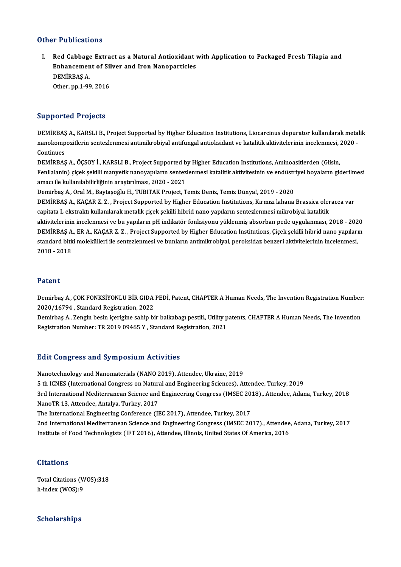## Other Publications

ther Publications<br>I. Red Cabbage Extract as a Natural Antioxidant with Application to Packaged Fresh Tilapia and<br>Enhancement of Silver and Iren Nanoparticles The Silvervies<br>Red Cabbage Extract as a Natural Antioxidant<br>Enhancement of Silver and Iron Nanoparticles<br>REMIPPAS A DEMİRBAŞ A.<br>Other, pp.1-99, 2016 Enhancement of Silver and Iron Nanoparticles

# Supported Projects

Supported Projects<br>DEMİRBAŞ A., KARSLI B., Project Supported by Higher Education Institutions, Liocarcinus depurator kullanılarak metalik<br>nanekompozitlerin sentezlenmesi antimilmebiyal antifungal antioksident ve katalitik nan portoca 11990es<br>DEMİRBAŞ A., KARSLI B., Project Supported by Higher Education Institutions, Liocarcinus depurator kullanılarak metal<br>nanokompozitlerin sentezlenmesi antimikrobiyal antifungal antioksidant ve katalitik a DEMIRBA<mark>Ş</mark><br>nanokomp<br>Continues<br>DEMIRRAS nanokompozitlerin sentezlenmesi antimikrobiyal antifungal antioksidant ve katalitik aktivitelerinin incelenmesi, 2020 -<br>Continues<br>DEMİRBAŞ A., ÖÇSOY İ., KARSLI B., Project Supported by Higher Education Institutions, Aminoa

Continues<br>DEMİRBAŞ A., ÖÇSOY İ., KARSLI B., Project Supported by Higher Education Institutions, Aminoasitlerden (Glisin,<br>Fenilalanin) çiçek şekilli manyetik nanoyapıların sentezlenmesi katalitik aktivitesinin ve endüstriye DEMİRBAŞ A., ÖÇSOY İ., KARSLI B., Project Supported b<br>Fenilalanin) çiçek şekilli manyetik nanoyapıların sentez<br>amacı ile kullanılabilirliğinin araştırılması, 2020 - 2021<br>Demirbas A. Oral M. Baytasoğlu H. TUBITAK Project T Fenilalanin) çiçek şekilli manyetik nanoyapıların sentezlenmesi katalitik aktivitesinin ve endüstr<br>amacı ile kullanılabilirliğinin araştırılması, 2020 - 2021<br>Demirbaş A., Oral M., Baytaşoğlu H., TUBITAK Project, Temiz Deni

amacı ile kullanılabilirliğinin araştırılması, 2020 - 2021<br>Demirbaş A., Oral M., Baytaşoğlu H., TUBITAK Project, Temiz Deniz, Temiz Dünya!, 2019 - 2020<br>DEMİRBAŞ A., KAÇAR Z. Z. , Project Supported by Higher Education Insti Demirbaş A., Oral M., Baytaşoğlu H., TUBITAK Project, Temiz Deniz, Temiz Dünya!, 2019 - 2020<br>DEMİRBAŞ A., KAÇAR Z. Z. , Project Supported by Higher Education Institutions, Kırmızı lahana Brassica oler<br>capitata L ekstraktı capitata L ekstraktı kullanılarak metalik çiçek şekilli hibrid nano yapıların sentezlenmesi mikrobiyal katalitik<br>aktivitelerinin incelenmesi ve bu yapıların pH indikatör fonksiyonu yüklenmiş absorban pede uygulanması, 2018 capitata L ekstraktı kullanılarak metalik çiçek şekilli hibrid nano yapıların sentezlenmesi mikrobiyal katalitik<br>aktivitelerinin incelenmesi ve bu yapıların pH indikatör fonksiyonu yüklenmiş absorban pede uygulanması, 2018 aktivitelerinin incelenmesi ve bu yapıların pH indikatör fonksiyonu yüklenmiş absorban pede uygulanması, 2018 - 202<br>DEMİRBAŞ A., ER A., KAÇAR Z. Z. , Project Supported by Higher Education Institutions, Çiçek şekilli hibrid DEMİRBAŞ A<br>standard bitk<br>2018 - 2018 2018 - 2018<br>Patent

**Patent**<br>Demirbaş A., ÇOK FONKSİYONLU BİR GIDA PEDİ, Patent, CHAPTER A Human Needs, The Invention Registration Number:<br>2020/16794 - Standard Pegistration, 2022 202012<br>Demirbaş A., ÇOK FONKSİYONLU BİR GIDA<br>2020/16794 , Standard Registration, 2022<br>Demirbaş A. Zongin bosin iserigine şabin bi Demirbaş A., ÇOK FONKSİYONLU BİR GIDA PEDİ, Patent, CHAPTER A Human Needs, The Invention Registration Number<br>2020/16794 , Standard Registration, 2022<br>Demirbaş A., Zengin besin içerigine sahip bir balkabagı pestili., Utilit

2020/16794 , Standard Registration, 2022<br>Demirbaş A., Zengin besin içerigine sahip bir balkabagı pestili., Utility patents, CHAPTER A Human Needs, The Invention<br>Registration Number: TR 2019 09465 Y , Standard Registration,

### **Edit Congress and Symposium Activities**

Nanotechnology and Nanomaterials (NANO 2019), Attendee, Ukraine, 2019 5 th ICNES (International Congress on Natural and Engineering Sciences), Attendee, Turkey, 2019 Nanotechnology and Nanomaterials (NANO 2019), Attendee, Ukraine, 2019<br>5 th ICNES (International Congress on Natural and Engineering Sciences), Attendee, Turkey, 2019<br>3rd International Mediterranean Science and Engineering 5 th ICNES (International Congress on Natura<br>3rd International Mediterranean Science and<br>NanoTR 13, Attendee, Antalya, Turkey, 2017<br>The International Engineering Conference (II 3rd International Mediterranean Science and Engineering Congress (IMSEC 20<br>NanoTR 13, Attendee, Antalya, Turkey, 2017<br>The International Engineering Conference (IEC 2017), Attendee, Turkey, 2017<br>2nd International Mediterran NanoTR 13, Attendee, Antalya, Turkey, 2017<br>The International Engineering Conference (IEC 2017), Attendee, Turkey, 2017<br>2nd International Mediterranean Science and Engineering Congress (IMSEC 2017)., Attendee, Adana, Turkey Institute of Food Technologists (IFT 2016), Attendee, Illinois, United States Of America, 2016

### **Citations**

Total Citations (WOS):318 h-index (WOS):9

# Scholarships